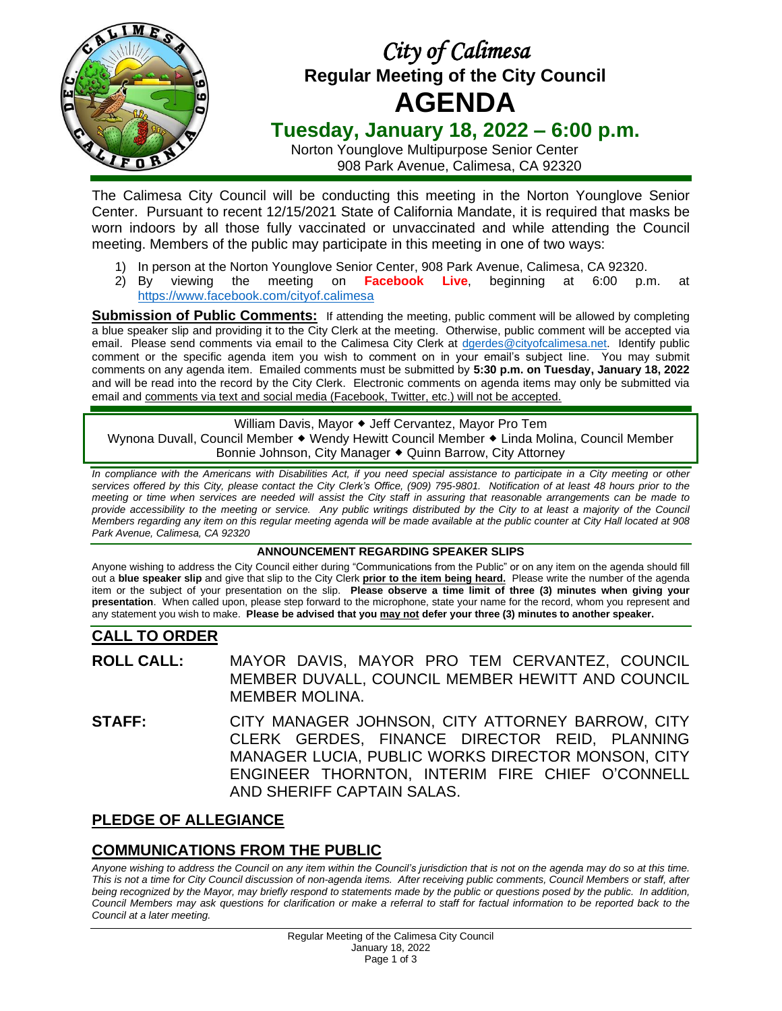

# *City of Calimesa*  **Regular Meeting of the City Council AGENDA**

## **Tuesday, January 18, 2022 – 6:00 p.m.**

Norton Younglove Multipurpose Senior Center 908 Park Avenue, Calimesa, CA 92320

The Calimesa City Council will be conducting this meeting in the Norton Younglove Senior Center. Pursuant to recent 12/15/2021 State of California Mandate, it is required that masks be worn indoors by all those fully vaccinated or unvaccinated and while attending the Council meeting. Members of the public may participate in this meeting in one of two ways:

- 1) In person at the Norton Younglove Senior Center, 908 Park Avenue, Calimesa, CA 92320.
- 2) By viewing the meeting on **Facebook Live**, beginning at 6:00 p.m. at <https://www.facebook.com/cityof.calimesa>

**Submission of Public Comments:** If attending the meeting, public comment will be allowed by completing a blue speaker slip and providing it to the City Clerk at the meeting. Otherwise, public comment will be accepted via email. Please send comments via email to the Calimesa City Clerk at [dgerdes@cityofcalimesa.net.](mailto:dgerdes@cityofcalimesa.net) Identify public comment or the specific agenda item you wish to comment on in your email's subject line. You may submit comments on any agenda item. Emailed comments must be submitted by **5:30 p.m. on Tuesday, January 18, 2022** and will be read into the record by the City Clerk. Electronic comments on agenda items may only be submitted via email and comments via text and social media (Facebook, Twitter, etc.) will not be accepted.

William Davis, Mayor  $\triangleleft$  Jeff Cervantez, Mayor Pro Tem Wynona Duvall, Council Member • Wendy Hewitt Council Member • Linda Molina, Council Member Bonnie Johnson, City Manager • Quinn Barrow, City Attorney

*In compliance with the Americans with Disabilities Act, if you need special assistance to participate in a City meeting or other services offered by this City, please contact the City Clerk's Office, (909) 795-9801. Notification of at least 48 hours prior to the meeting or time when services are needed will assist the City staff in assuring that reasonable arrangements can be made to provide accessibility to the meeting or service. Any public writings distributed by the City to at least a majority of the Council Members regarding any item on this regular meeting agenda will be made available at the public counter at City Hall located at 908 Park Avenue, Calimesa, CA 92320*

#### **ANNOUNCEMENT REGARDING SPEAKER SLIPS**

Anyone wishing to address the City Council either during "Communications from the Public" or on any item on the agenda should fill out a **blue speaker slip** and give that slip to the City Clerk **prior to the item being heard.** Please write the number of the agenda item or the subject of your presentation on the slip. **Please observe a time limit of three (3) minutes when giving your presentation**. When called upon, please step forward to the microphone, state your name for the record, whom you represent and any statement you wish to make. **Please be advised that you may not defer your three (3) minutes to another speaker.**

## **CALL TO ORDER**

**ROLL CALL:** MAYOR DAVIS, MAYOR PRO TEM CERVANTEZ, COUNCIL MEMBER DUVALL, COUNCIL MEMBER HEWITT AND COUNCIL MEMBER MOLINA.

**STAFF:** CITY MANAGER JOHNSON, CITY ATTORNEY BARROW, CITY CLERK GERDES, FINANCE DIRECTOR REID, PLANNING MANAGER LUCIA, PUBLIC WORKS DIRECTOR MONSON, CITY ENGINEER THORNTON, INTERIM FIRE CHIEF O'CONNELL AND SHERIFF CAPTAIN SALAS.

## **PLEDGE OF ALLEGIANCE**

## **COMMUNICATIONS FROM THE PUBLIC**

*Anyone wishing to address the Council on any item within the Council's jurisdiction that is not on the agenda may do so at this time. This is not a time for City Council discussion of non-agenda items. After receiving public comments, Council Members or staff, after being recognized by the Mayor, may briefly respond to statements made by the public or questions posed by the public. In addition, Council Members may ask questions for clarification or make a referral to staff for factual information to be reported back to the Council at a later meeting.*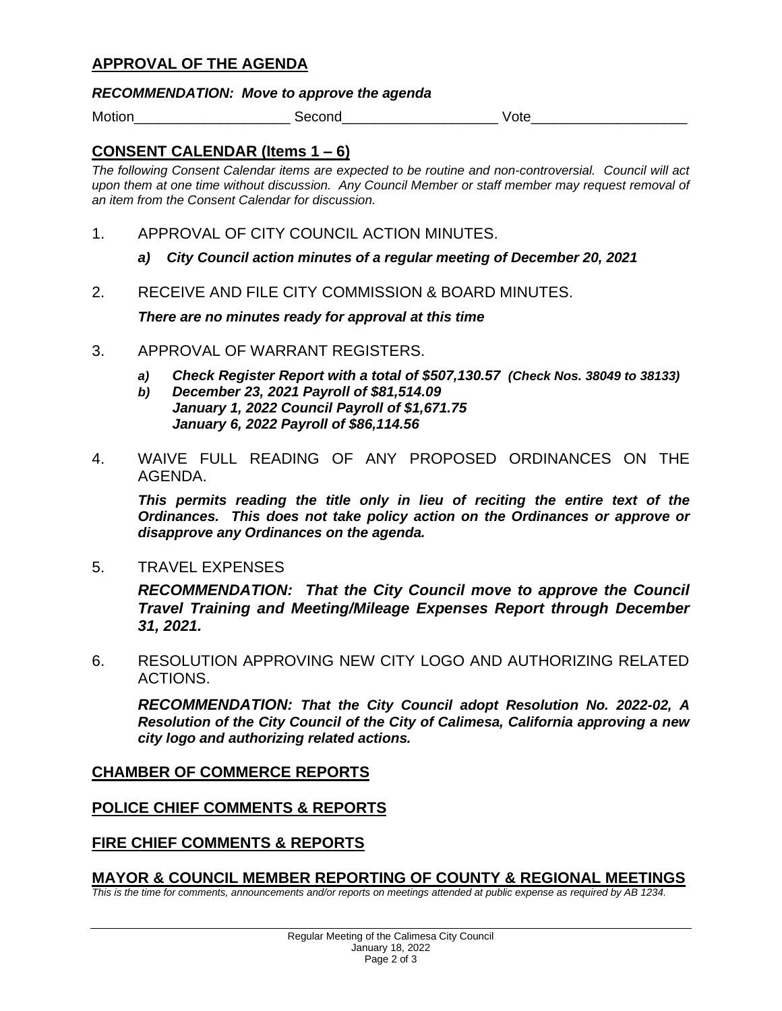#### **APPROVAL OF THE AGENDA**

#### *RECOMMENDATION: Move to approve the agenda*

Motion\_\_\_\_\_\_\_\_\_\_\_\_\_\_\_\_\_\_\_\_ Second\_\_\_\_\_\_\_\_\_\_\_\_\_\_\_\_\_\_\_\_ Vote\_\_\_\_\_\_\_\_\_\_\_\_\_\_\_\_\_\_\_\_

#### **CONSENT CALENDAR (Items 1 – 6)**

*The following Consent Calendar items are expected to be routine and non-controversial. Council will act upon them at one time without discussion. Any Council Member or staff member may request removal of an item from the Consent Calendar for discussion.*

- 1. APPROVAL OF CITY COUNCIL ACTION MINUTES.
	- *a) City Council action minutes of a regular meeting of December 20, 2021*
- 2. RECEIVE AND FILE CITY COMMISSION & BOARD MINUTES.

*There are no minutes ready for approval at this time*

- 3. APPROVAL OF WARRANT REGISTERS.
	- *a) Check Register Report with a total of \$507,130.57 (Check Nos. 38049 to 38133)*
	- *b) December 23, 2021 Payroll of \$81,514.09 January 1, 2022 Council Payroll of \$1,671.75 January 6, 2022 Payroll of \$86,114.56*
- 4. WAIVE FULL READING OF ANY PROPOSED ORDINANCES ON THE AGENDA.

*This permits reading the title only in lieu of reciting the entire text of the Ordinances. This does not take policy action on the Ordinances or approve or disapprove any Ordinances on the agenda.*

5. TRAVEL EXPENSES

*RECOMMENDATION: That the City Council move to approve the Council Travel Training and Meeting/Mileage Expenses Report through December 31, 2021.*

6. RESOLUTION APPROVING NEW CITY LOGO AND AUTHORIZING RELATED ACTIONS.

*RECOMMENDATION: That the City Council adopt Resolution No. 2022-02, A Resolution of the City Council of the City of Calimesa, California approving a new city logo and authorizing related actions.*

#### **CHAMBER OF COMMERCE REPORTS**

#### **POLICE CHIEF COMMENTS & REPORTS**

#### **FIRE CHIEF COMMENTS & REPORTS**

#### **MAYOR & COUNCIL MEMBER REPORTING OF COUNTY & REGIONAL MEETINGS**

*This is the time for comments, announcements and/or reports on meetings attended at public expense as required by AB 1234.*